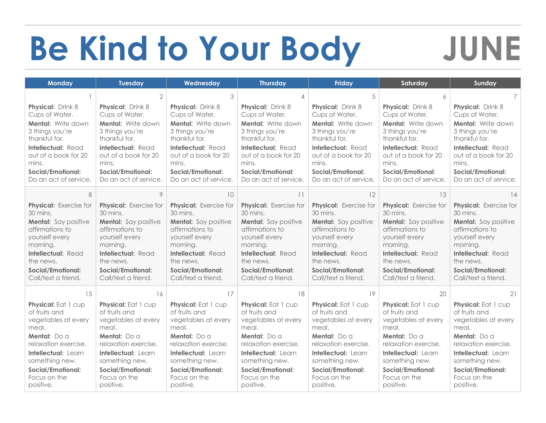## **Be Kind to Your Body JUNE**

| <b>Monday</b>               | <b>Tuesday</b>              | Wednesday                   | <b>Thursday</b>             | <b>Friday</b>             | Saturday                    | Sunday                      |
|-----------------------------|-----------------------------|-----------------------------|-----------------------------|---------------------------|-----------------------------|-----------------------------|
|                             |                             | 3                           |                             | .5                        | 6                           | 7                           |
| <b>Physical: Drink 8</b>    | <b>Physical:</b> Drink 8    | <b>Physical:</b> Drink 8    | <b>Physical:</b> Drink 8    | <b>Physical:</b> Drink 8  | Physical: Drink 8           | <b>Physical:</b> Drink 8    |
| Cups of Water.              | Cups of Water.              | Cups of Water.              | Cups of Water.              | Cups of Water.            | Cups of Water.              | Cups of Water.              |
| Mental: Write down          | <b>Mental:</b> Write down   | Mental: Write down          | <b>Mental:</b> Write down   | <b>Mental:</b> Write down | Mental: Write down          | <b>Mental:</b> Write down   |
| 3 things you're             | 3 things you're             | 3 things you're             | 3 things you're             | 3 things you're           | 3 things you're             | 3 things you're             |
| thankful for.               | thankful for.               | thankful for.               | thankful for.               | thankful for.             | thankful for.               | thankful for.               |
| Intellectual: Read          | Intellectual: Read          | Intellectual: Read          | Intellectual: Read          | Intellectual: Read        | Intellectual: Read          | Intellectual: Read          |
| out of a book for 20        | out of a book for 20        | out of a book for 20        | out of a book for 20        | out of a book for 20      | out of a book for 20        | out of a book for 20        |
| mins.                       | mins.                       | mins.                       | mins.                       | mins.                     | mins.                       | mins.                       |
| <b>Social/Emotional:</b>    | <b>Social/Emotional:</b>    | <b>Social/Emotional:</b>    | <b>Social/Emotional:</b>    | <b>Social/Emotional:</b>  | <b>Social/Emotional:</b>    | <b>Social/Emotional:</b>    |
| Do an act of service.       | Do an act of service.       | Do an act of service.       | Do an act of service.       | Do an act of service.     | Do an act of service.       | Do an act of service.       |
| 8                           | 9                           | 10                          | 11                          | 12                        | 13                          | 14                          |
| Physical: Exercise for      | Physical: Exercise for      | Physical: Exercise for      | Physical: Exercise for      | Physical: Exercise for    | Physical: Exercise for      | Physical: Exercise for      |
| 30 mins.                    | 30 mins.                    | 30 mins.                    | 30 mins.                    | 30 mins.                  | 30 mins.                    | 30 mins.                    |
| <b>Mental:</b> Say positive | <b>Mental:</b> Say positive | <b>Mental:</b> Say positive | <b>Mental:</b> Say positive | Mental: Say positive      | <b>Mental:</b> Say positive | <b>Mental:</b> Say positive |
| affirmations to             | affirmations to             | affirmations to             | affirmations to             | affirmations to           | affirmations to             | affirmations to             |
| yourself every              | yourself every              | yourself every              | yourself every              | yourself every            | yourself every              | yourself every              |
| morning.                    | morning.                    | morning.                    | morning.                    | morning.                  | morning.                    | morning.                    |
| Intellectual: Read          | Intellectual: Read          | Intellectual: Read          | Intellectual: Read          | Intellectual: Read        | Intellectual: Read          | Intellectual: Read          |
| the news.                   | the news.                   | the news.                   | the news.                   | the news.                 | the news.                   | the news.                   |
| <b>Social/Emotional:</b>    | <b>Social/Emotional:</b>    | <b>Social/Emotional:</b>    | <b>Social/Emotional:</b>    | <b>Social/Emotional:</b>  | <b>Social/Emotional:</b>    | <b>Social/Emotional:</b>    |
| Call/text a friend.         | Call/text a friend.         | Call/text a friend.         | Call/text a friend.         | Call/text a friend.       | Call/text a friend.         | Call/text a friend.         |
|                             |                             |                             |                             |                           |                             |                             |
| 15                          | 16                          | 17                          | 18                          | 19                        | 20                          | 21                          |
| Physical: Eat 1 cup         | Physical: Eat 1 cup         | Physical: Eat 1 cup         | Physical: Eat 1 cup         | Physical: Eat 1 cup       | Physical: Eat 1 cup         | Physical: Eat 1 cup         |
| of fruits and               | of fruits and               | of fruits and               | of fruits and               | of fruits and             | of fruits and               | of fruits and               |
| vegetables at every         | vegetables at every         | vegetables at every         | vegetables at every         | vegetables at every       | vegetables at every         | vegetables at every         |
| meal.                       | meal.                       | meal.                       | meal.                       | meal.                     | meal.                       | meal.                       |
| Mental: Do a                | Mental: Do a                | Mental: Do a                | Mental: Do a                | Mental: Do a              | Mental: Do a                | Mental: Do a                |
| relaxation exercise.        | relaxation exercise.        | relaxation exercise.        | relaxation exercise.        | relaxation exercise.      | relaxation exercise.        | relaxation exercise.        |
| Intellectual: Learn         | Intellectual: Learn         | Intellectual: Learn         | Intellectual: Learn         | Intellectual: Learn       | Intellectual: Learn         | Intellectual: Learn         |
| something new.              | something new.              | something new.              | something new.              | something new.            | something new.              | something new.              |
| <b>Social/Emotional:</b>    | <b>Social/Emotional:</b>    | <b>Social/Emotional:</b>    | Social/Emotional:           | <b>Social/Emotional:</b>  | <b>Social/Emotional:</b>    | Social/Emotional:           |
| Focus on the                | Focus on the                | Focus on the                | Focus on the                | Focus on the              | Focus on the                | Focus on the                |
| positive.                   | positive.                   | positive.                   | positive.                   | positive.                 | positive.                   | positive.                   |